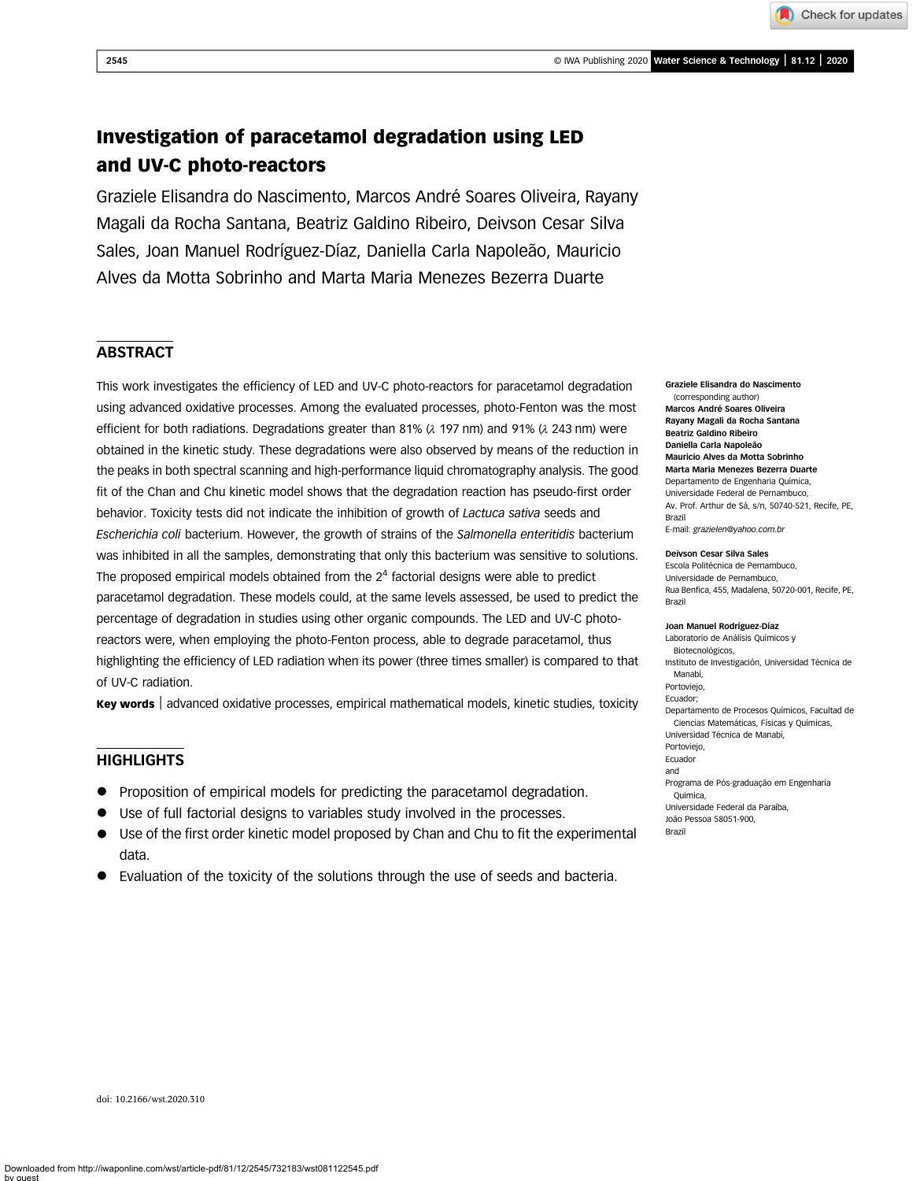

Check for updates

# Investigation of paracetamol degradation using LED and UV-C photo-reactors

Graziele Elisandra do Nascimento, Marcos André Soares Oliveira, Rayany Magali da Rocha Santana, Beatriz Galdino Ribeiro, Deivson Cesar Silva Sales, Joan Manuel Rodríguez-Díaz, Daniella Carla Napoleão, Mauricio Alves da Motta Sobrinho and Marta Maria Menezes Bezerra Duarte

# **ABSTRACT**

This work investigates the efficiency of LED and UV-C photo-reactors for paracetamol degradation using advanced oxidative processes. Among the evaluated processes, photo-Fenton was the most efficient for both radiations. Degradations greater than 81%  $(\lambda$  197 nm) and 91%  $(\lambda$  243 nm) were obtained in the kinetic study. These degradations were also observed by means of the reduction in the peaks in both spectral scanning and high-performance liquid chromatography analysis. The good fit of the Chan and Chu kinetic model shows that the degradation reaction has pseudo-first order behavior. Toxicity tests did not indicate the inhibition of growth of Lactuca sativa seeds and Escherichia coli bacterium. However, the growth of strains of the Salmonella enteritidis bacterium was inhibited in all the samples, demonstrating that only this bacterium was sensitive to solutions. The proposed empirical models obtained from the  $2<sup>4</sup>$  factorial designs were able to predict paracetamol degradation. These models could, at the same levels assessed, be used to predict the percentage of degradation in studies using other organic compounds. The LED and UV-C photoreactors were, when employing the photo-Fenton process, able to degrade paracetamol, thus highlighting the efficiency of LED radiation when its power (three times smaller) is compared to that of UV-C radiation.

**Key words** advanced oxidative processes, empirical mathematical models, kinetic studies, toxicity

# **HIGHLIGHTS**

- Proposition of empirical models for predicting the paracetamol degradation.
- Use of full factorial designs to variables study involved in the processes.
- Use of the first order kinetic model proposed by Chan and Chu to fit the experimental data.
- Evaluation of the toxicity of the solutions through the use of seeds and bacteria.

Graziele Elisandra do Nascimento (corresponding author) Marcos André Soares Oliveira Rayany Magali da Rocha Santana Beatriz Galdino Ribeiro Daniella Carla Napoleão Mauricio Alves da Motta Sobrinho Marta Maria Menezes Bezerra Duarte Departamento de Engenharia Química, Universidade Federal de Pernambuco, Av. Prof. Arthur de Sá, s/n, 50740-521, Recife, PE, Brazil E-mail: [grazielen@yahoo.com.br](mailto:grazielen@yahoo.com.br)

#### Deivson Cesar Silva Sales

Escola Politécnica de Pernambuco, Universidade de Pernambuco, Rua Benfica, 455, Madalena, 50720-001, Recife, PE, Brazil

#### Joan Manuel Rodríguez-Díaz

Laboratorio de Análisis Químicos y Biotecnológicos, Instituto de Investigación, Universidad Técnica de Manabí, Portoviejo, Ecuador; Departamento de Procesos Químicos, Facultad de Ciencias Matemáticas, Físicas y Químicas, Universidad Técnica de Manabí, Portoviejo, Ecuador and Programa de Pós-graduação em Engenharia Química, Universidade Federal da Paraíba, João Pessoa 58051-900, Brazil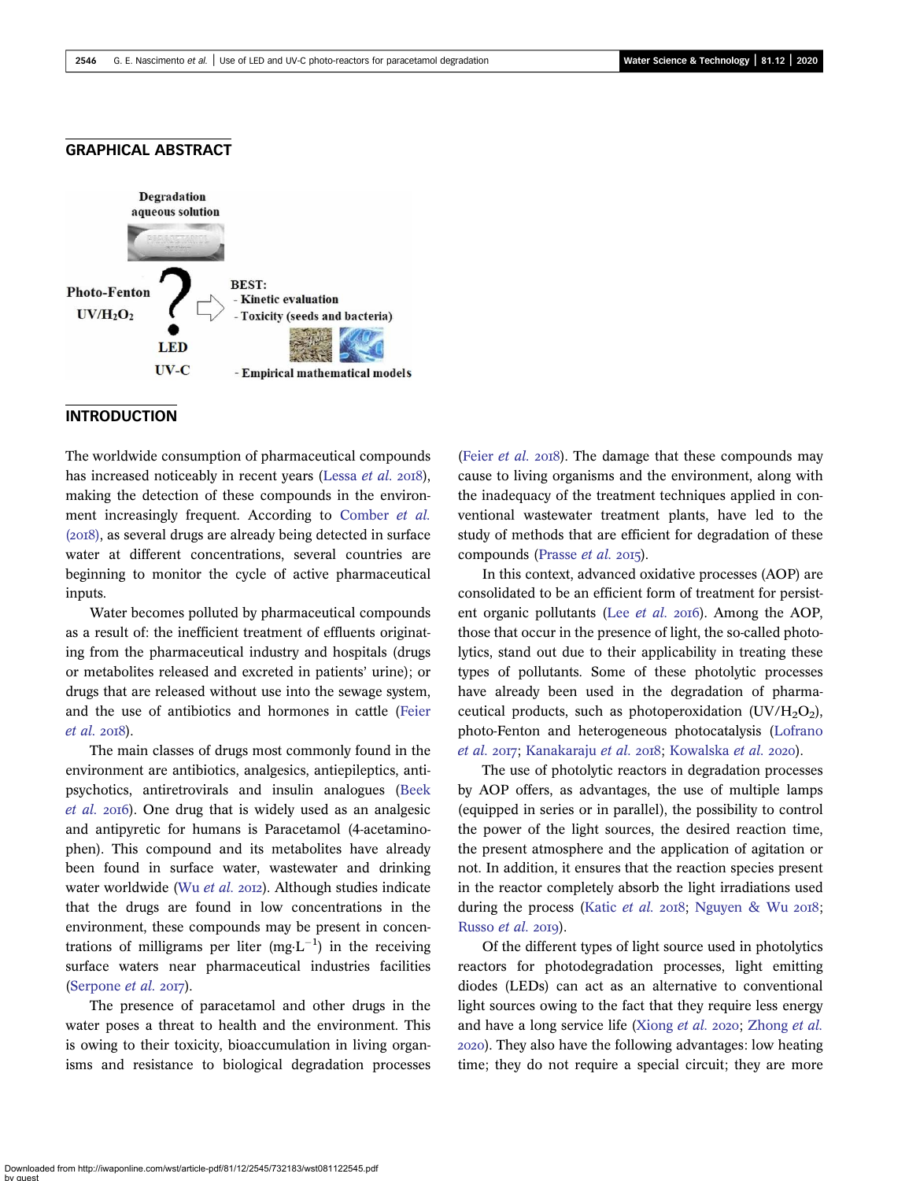# GRAPHICAL ABSTRACT



# **INTRODUCTION**

The worldwide consumption of pharmaceutical compounds has increased noticeably in recent years [\(Lessa](#page-12-0) et al. 2018), making the detection of these compounds in the environment increasingly frequent. According to [Comber](#page-12-0) et al.  $(20I8)$ , as several drugs are already being detected in surface water at different concentrations, several countries are beginning to monitor the cycle of active pharmaceutical inputs.

Water becomes polluted by pharmaceutical compounds as a result of: the inefficient treatment of effluents originating from the pharmaceutical industry and hospitals (drugs or metabolites released and excreted in patients' urine); or drugs that are released without use into the sewage system, and the use of antibiotics and hormones in cattle [\(Feier](#page-12-0)  $et$  al.  $2018$ ).

The main classes of drugs most commonly found in the environment are antibiotics, analgesics, antiepileptics, antipsychotics, antiretrovirals and insulin analogues [\(Beek](#page-12-0) [et al.](#page-12-0) 2016). One drug that is widely used as an analgesic and antipyretic for humans is Paracetamol (4-acetaminophen). This compound and its metabolites have already been found in surface water, wastewater and drinking water worldwide (Wu [et al.](#page-13-0) 2012). Although studies indicate that the drugs are found in low concentrations in the environment, these compounds may be present in concentrations of milligrams per liter (mg $L^{-1}$ ) in the receiving surface waters near pharmaceutical industries facilities ([Serpone](#page-13-0)  $et$  al. 2017).

The presence of paracetamol and other drugs in the water poses a threat to health and the environment. This is owing to their toxicity, bioaccumulation in living organisms and resistance to biological degradation processes (Feier *[et al.](#page-12-0)* 2018). The damage that these compounds may cause to living organisms and the environment, along with the inadequacy of the treatment techniques applied in conventional wastewater treatment plants, have led to the study of methods that are efficient for degradation of these compounds ([Prasse](#page-13-0) et al. 2015).

In this context, advanced oxidative processes (AOP) are consolidated to be an efficient form of treatment for persistent organic pollutants (Lee  $et$  al. 2016). Among the AOP, those that occur in the presence of light, the so-called photolytics, stand out due to their applicability in treating these types of pollutants. Some of these photolytic processes have already been used in the degradation of pharmaceutical products, such as photoperoxidation  $(UV/H<sub>2</sub>O<sub>2</sub>)$ , photo-Fenton and heterogeneous photocatalysis ([Lofrano](#page-13-0) [et al.](#page-13-0) 2017; [Kanakaraju](#page-12-0) et al. 2018; [Kowalska](#page-12-0) et al. 2020).

The use of photolytic reactors in degradation processes by AOP offers, as advantages, the use of multiple lamps (equipped in series or in parallel), the possibility to control the power of the light sources, the desired reaction time, the present atmosphere and the application of agitation or not. In addition, it ensures that the reaction species present in the reactor completely absorb the light irradiations used during the process [\(Katic](#page-12-0) et al. 2018; [Nguyen & Wu](#page-13-0) 2018; [Russo](#page-13-0)  $et$  al. 2019).

Of the different types of light source used in photolytics reactors for photodegradation processes, light emitting diodes (LEDs) can act as an alternative to conventional light sources owing to the fact that they require less energy and have a long service life ([Xiong](#page-13-0) et al. 2020; [Zhong](#page-13-0) et al. ). They also have the following advantages: low heating time; they do not require a special circuit; they are more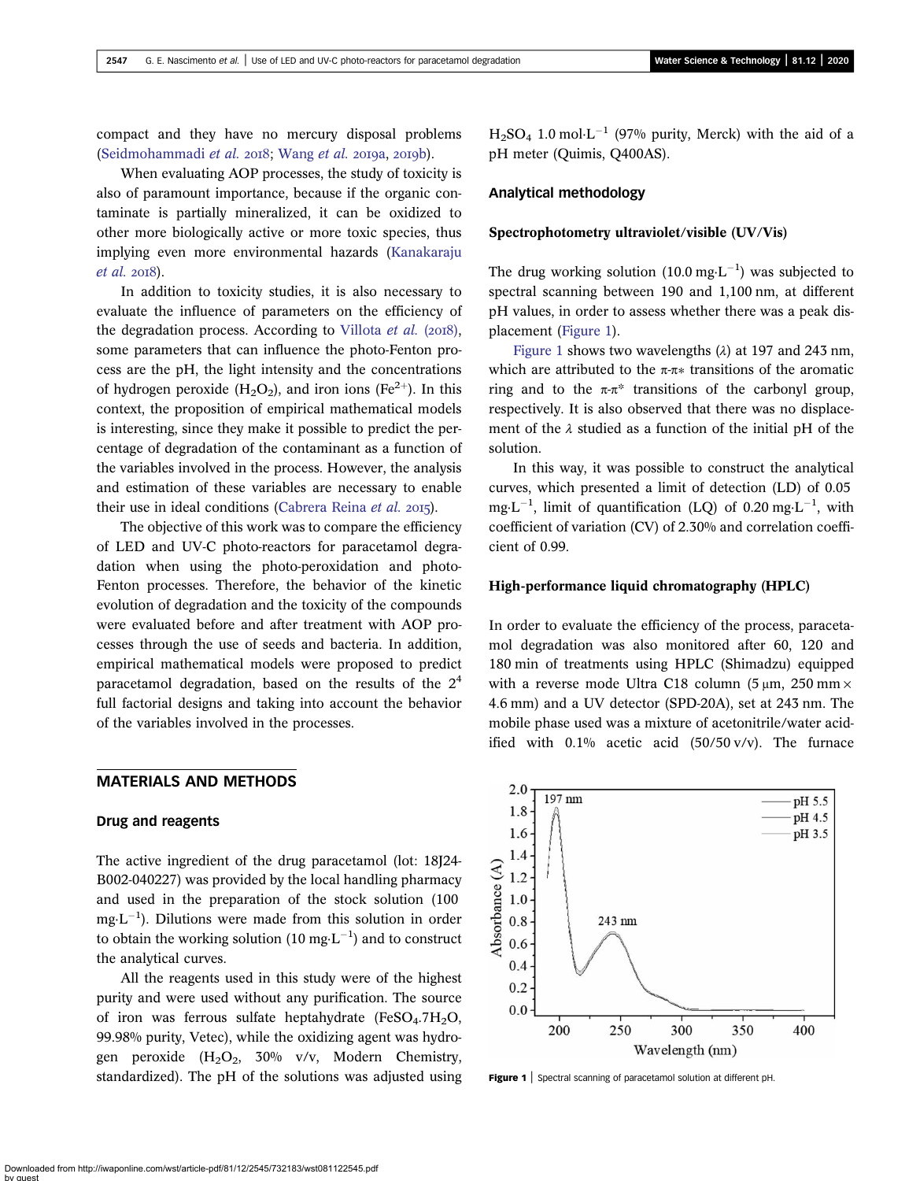compact and they have no mercury disposal problems [\(Seidmohammadi](#page-13-0) et al.  $2018$ ). [Wang](#page-13-0) et al.  $2019a$ ,  $2019b$ ).

When evaluating AOP processes, the study of toxicity is also of paramount importance, because if the organic contaminate is partially mineralized, it can be oxidized to other more biologically active or more toxic species, thus implying even more environmental hazards ([Kanakaraju](#page-12-0)  $et$  al.  $2018$ ).

In addition to toxicity studies, it is also necessary to evaluate the influence of parameters on the efficiency of the degradation process. According to [Villota](#page-13-0) *et al.* ( $2018$ ), some parameters that can influence the photo-Fenton process are the pH, the light intensity and the concentrations of hydrogen peroxide  $(H_2O_2)$ , and iron ions  $(Fe^{2+})$ . In this context, the proposition of empirical mathematical models is interesting, since they make it possible to predict the percentage of degradation of the contaminant as a function of the variables involved in the process. However, the analysis and estimation of these variables are necessary to enable their use in ideal conditions [\(Cabrera Reina](#page-12-0) et al. 2015).

The objective of this work was to compare the efficiency of LED and UV-C photo-reactors for paracetamol degradation when using the photo-peroxidation and photo-Fenton processes. Therefore, the behavior of the kinetic evolution of degradation and the toxicity of the compounds were evaluated before and after treatment with AOP processes through the use of seeds and bacteria. In addition, empirical mathematical models were proposed to predict paracetamol degradation, based on the results of the  $2<sup>4</sup>$ full factorial designs and taking into account the behavior of the variables involved in the processes.

# MATERIALS AND METHODS

# Drug and reagents

The active ingredient of the drug paracetamol (lot: 18J24- B002-040227) was provided by the local handling pharmacy and used in the preparation of the stock solution (100  $mg \cdot L^{-1}$ ). Dilutions were made from this solution in order to obtain the working solution (10 mg $\text{L}^{-1}$ ) and to construct the analytical curves.

All the reagents used in this study were of the highest purity and were used without any purification. The source of iron was ferrous sulfate heptahydrate (FeSO<sub>4</sub>.7H<sub>2</sub>O, 99.98% purity, Vetec), while the oxidizing agent was hydrogen peroxide  $(H_2O_2, 30\% \text{ v/v}, \text{Modern Chemistry},$ standardized). The pH of the solutions was adjusted using  $H_2SO_4$  1.0 mol $L^{-1}$  (97% purity, Merck) with the aid of a pH meter (Quimis, Q400AS).

# Analytical methodology

### Spectrophotometry ultraviolet/visible (UV/Vis)

The drug working solution (10.0 mg $\cdot$ L<sup>-1</sup>) was subjected to spectral scanning between 190 and 1,100 nm, at different pH values, in order to assess whether there was a peak displacement (Figure 1).

Figure 1 shows two wavelengths  $(\lambda)$  at 197 and 243 nm, which are attributed to the  $\pi$ -π $*$  transitions of the aromatic ring and to the π-π<sup>\*</sup> transitions of the carbonyl group, respectively. It is also observed that there was no displacement of the  $\lambda$  studied as a function of the initial pH of the solution.

In this way, it was possible to construct the analytical curves, which presented a limit of detection (LD) of 0.05 mg·L<sup>-1</sup>, limit of quantification (LQ) of 0.20 mg·L<sup>-1</sup>, with coefficient of variation (CV) of 2.30% and correlation coefficient of 0.99.

### High-performance liquid chromatography (HPLC)

In order to evaluate the efficiency of the process, paracetamol degradation was also monitored after 60, 120 and 180 min of treatments using HPLC (Shimadzu) equipped with a reverse mode Ultra C18 column  $(5 \mu m, 250 \text{ mm} \times$ 4.6 mm) and a UV detector (SPD-20A), set at 243 nm. The mobile phase used was a mixture of acetonitrile/water acidified with  $0.1\%$  acetic acid  $(50/50 \text{ v/v})$ . The furnace



Figure 1 | Spectral scanning of paracetamol solution at different pH.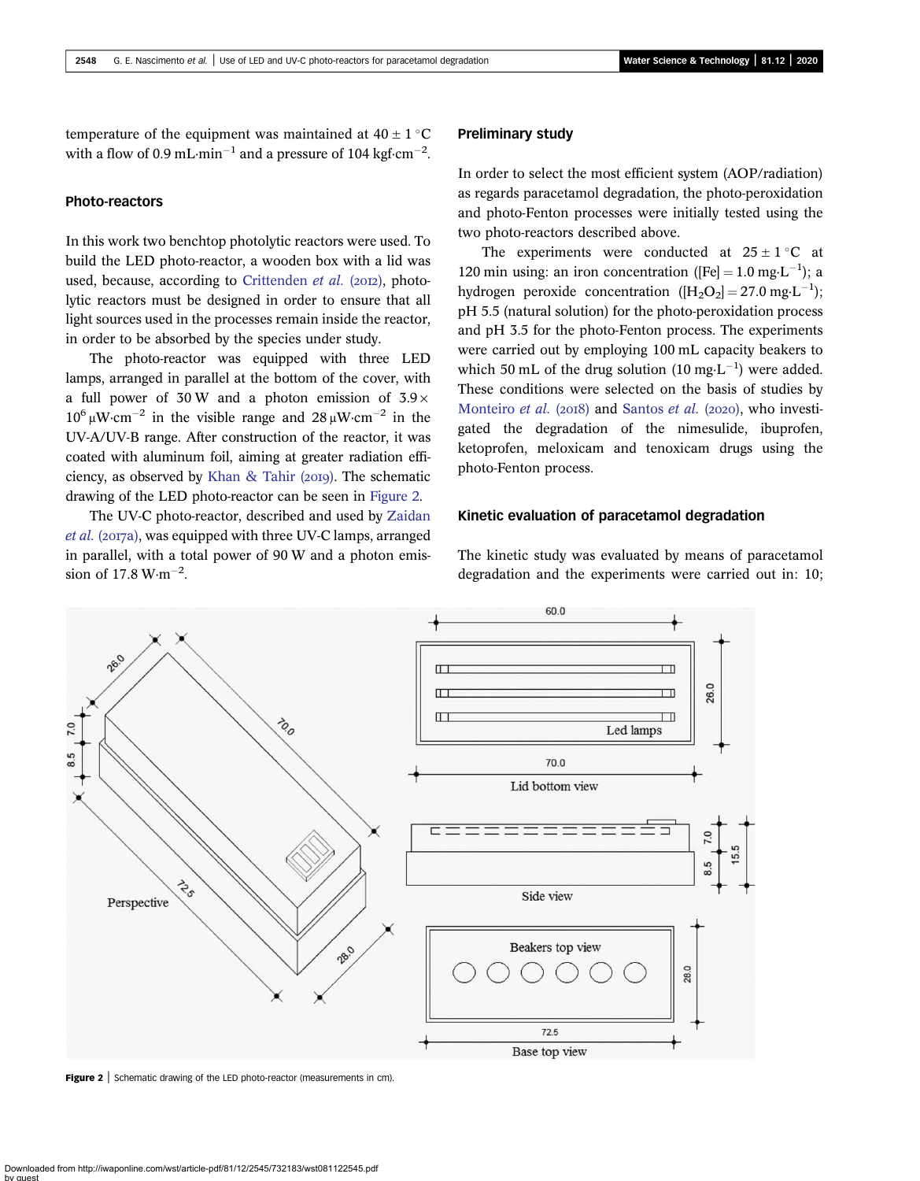temperature of the equipment was maintained at  $40 \pm 1$  °C with a flow of 0.9 mL $\cdot$ min<sup>-1</sup> and a pressure of 104 kgf $\cdot$ cm<sup>-2</sup>.

# Photo-reactors

In this work two benchtop photolytic reactors were used. To build the LED photo-reactor, a wooden box with a lid was used, because, according to [Crittenden](#page-12-0)  $et$  al. (2012), photolytic reactors must be designed in order to ensure that all light sources used in the processes remain inside the reactor, in order to be absorbed by the species under study.

The photo-reactor was equipped with three LED lamps, arranged in parallel at the bottom of the cover, with a full power of 30 W and a photon emission of  $3.9 \times$  $10^6$  uW·cm<sup>-2</sup> in the visible range and  $28$  uW·cm<sup>-2</sup> in the UV-A/UV-B range. After construction of the reactor, it was coated with aluminum foil, aiming at greater radiation effi-ciency, as observed by [Khan & Tahir \(](#page-12-0)2019). The schematic drawing of the LED photo-reactor can be seen in Figure 2.

The UV-C photo-reactor, described and used by [Zaidan](#page-13-0)  $et al. (2017a)$  $et al. (2017a)$ , was equipped with three UV-C lamps, arranged in parallel, with a total power of 90 W and a photon emission of  $17.8 \text{ W} \cdot \text{m}^{-2}$ .

# Preliminary study

In order to select the most efficient system (AOP/radiation) as regards paracetamol degradation, the photo-peroxidation and photo-Fenton processes were initially tested using the two photo-reactors described above.

The experiments were conducted at  $25 \pm 1$  °C at 120 min using: an iron concentration ( $[Fe] = 1.0$  mg·L<sup>-1</sup>); a hydrogen peroxide concentration  $([H_2O_2] = 27.0 \text{ mg} \cdot \text{L}^{-1});$ pH 5.5 (natural solution) for the photo-peroxidation process and pH 3.5 for the photo-Fenton process. The experiments were carried out by employing 100 mL capacity beakers to which 50 mL of the drug solution  $(10 \text{ mg} \cdot \text{L}^{-1})$  were added. These conditions were selected on the basis of studies by [Monteiro](#page-13-0) et al. (2018) and [Santos](#page-13-0) et al. (2020), who investigated the degradation of the nimesulide, ibuprofen, ketoprofen, meloxicam and tenoxicam drugs using the photo-Fenton process.

### Kinetic evaluation of paracetamol degradation

The kinetic study was evaluated by means of paracetamol degradation and the experiments were carried out in: 10;



**Figure 2** Schematic drawing of the LED photo-reactor (measurements in cm).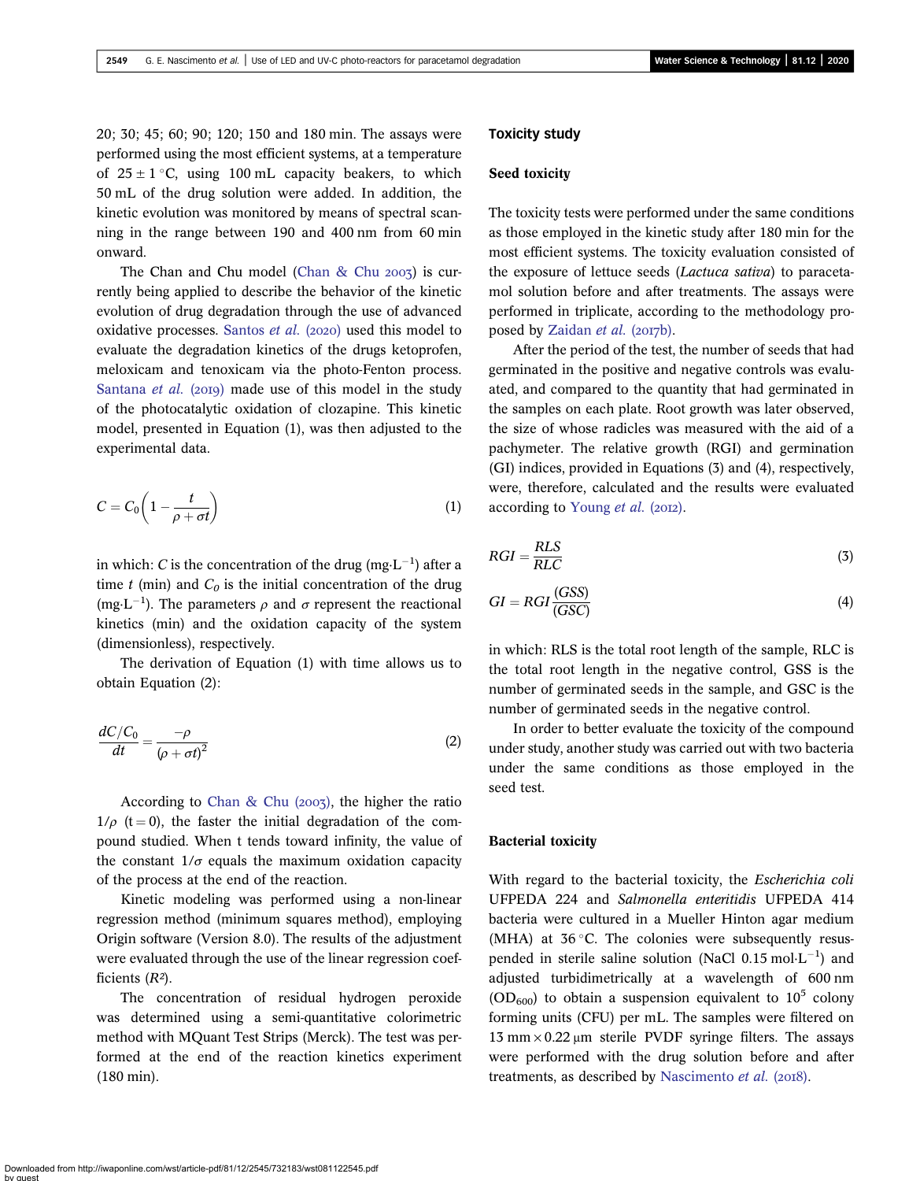20; 30; 45; 60; 90; 120; 150 and 180 min. The assays were performed using the most efficient systems, at a temperature of  $25 \pm 1$  °C, using 100 mL capacity beakers, to which 50 mL of the drug solution were added. In addition, the kinetic evolution was monitored by means of spectral scanning in the range between 190 and 400 nm from 60 min onward.

The Chan and Chu model (Chan  $&$  Chu 2003) is currently being applied to describe the behavior of the kinetic evolution of drug degradation through the use of advanced oxidative processes. [Santos](#page-13-0) *et al.* (2020) used this model to evaluate the degradation kinetics of the drugs ketoprofen, meloxicam and tenoxicam via the photo-Fenton process. [Santana](#page-13-0) et al. (2019) made use of this model in the study of the photocatalytic oxidation of clozapine. This kinetic model, presented in Equation (1), was then adjusted to the experimental data.

$$
C = C_0 \left( 1 - \frac{t}{\rho + \sigma t} \right) \tag{1}
$$

in which: *C* is the concentration of the drug (mg·L<sup>-1</sup>) after a time t (min) and  $C_0$  is the initial concentration of the drug (mg·L<sup>-1</sup>). The parameters  $\rho$  and  $\sigma$  represent the reactional kinetics (min) and the oxidation capacity of the system (dimensionless), respectively.

The derivation of Equation (1) with time allows us to obtain Equation (2):

$$
\frac{dC/C_0}{dt} = \frac{-\rho}{(\rho + \sigma t)^2} \tag{2}
$$

According to Chan & Chu  $(2003)$ , the higher the ratio  $1/\rho$  (t = 0), the faster the initial degradation of the compound studied. When t tends toward infinity, the value of the constant  $1/\sigma$  equals the maximum oxidation capacity of the process at the end of the reaction.

Kinetic modeling was performed using a non-linear regression method (minimum squares method), employing Origin software (Version 8.0). The results of the adjustment were evaluated through the use of the linear regression coefficients  $(R<sup>2</sup>)$ .

The concentration of residual hydrogen peroxide was determined using a semi-quantitative colorimetric method with MQuant Test Strips (Merck). The test was performed at the end of the reaction kinetics experiment (180 min).

# Toxicity study

# Seed toxicity

The toxicity tests were performed under the same conditions as those employed in the kinetic study after 180 min for the most efficient systems. The toxicity evaluation consisted of the exposure of lettuce seeds (Lactuca sativa) to paracetamol solution before and after treatments. The assays were performed in triplicate, according to the methodology pro-posed by [Zaidan](#page-13-0) et al. (2017b).

After the period of the test, the number of seeds that had germinated in the positive and negative controls was evaluated, and compared to the quantity that had germinated in the samples on each plate. Root growth was later observed, the size of whose radicles was measured with the aid of a pachymeter. The relative growth (RGI) and germination (GI) indices, provided in Equations (3) and (4), respectively, were, therefore, calculated and the results were evaluated according to [Young](#page-13-0) et al. (2012).

$$
RGI = \frac{RLS}{RLC} \tag{3}
$$

$$
GI = RGI \frac{(GSS)}{(GSC)}
$$
\n<sup>(4)</sup>

in which: RLS is the total root length of the sample, RLC is the total root length in the negative control, GSS is the number of germinated seeds in the sample, and GSC is the number of germinated seeds in the negative control.

In order to better evaluate the toxicity of the compound under study, another study was carried out with two bacteria under the same conditions as those employed in the seed test.

# Bacterial toxicity

With regard to the bacterial toxicity, the Escherichia coli UFPEDA 224 and Salmonella enteritidis UFPEDA 414 bacteria were cultured in a Mueller Hinton agar medium (MHA) at  $36^{\circ}$ C. The colonies were subsequently resuspended in sterile saline solution (NaCl  $0.15 \text{ mol} \cdot \text{L}^{-1}$ ) and adjusted turbidimetrically at a wavelength of 600 nm  $(OD<sub>600</sub>)$  to obtain a suspension equivalent to  $10<sup>5</sup>$  colony forming units (CFU) per mL. The samples were filtered on  $13$  mm  $\times$  0.22  $\mu$ m sterile PVDF syringe filters. The assays were performed with the drug solution before and after treatments, as described by [Nascimento](#page-13-0)  $et$   $al.$  (2018).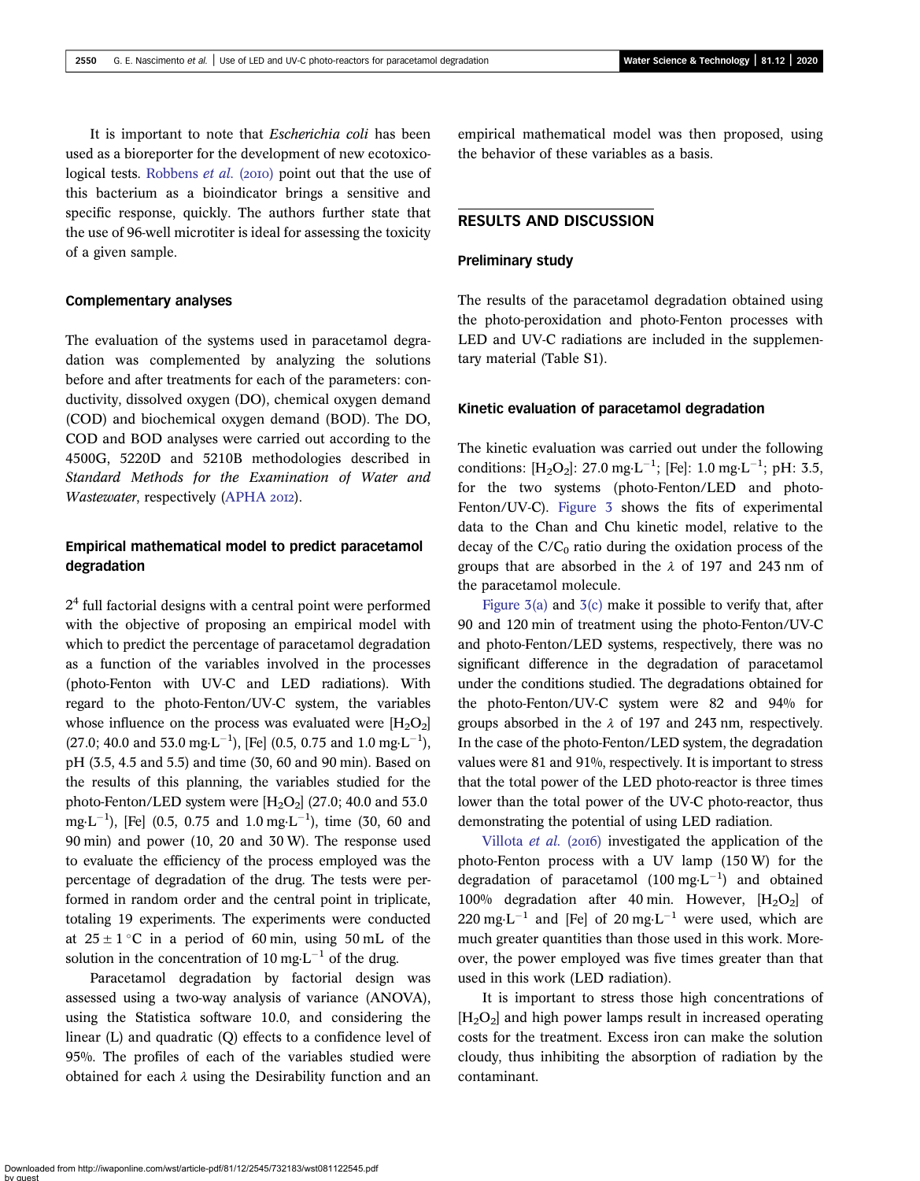It is important to note that Escherichia coli has been used as a bioreporter for the development of new ecotoxico-logical tests. [Robbens](#page-13-0) *et al.* (2010) point out that the use of this bacterium as a bioindicator brings a sensitive and specific response, quickly. The authors further state that the use of 96-well microtiter is ideal for assessing the toxicity of a given sample.

### Complementary analyses

The evaluation of the systems used in paracetamol degradation was complemented by analyzing the solutions before and after treatments for each of the parameters: conductivity, dissolved oxygen (DO), chemical oxygen demand (COD) and biochemical oxygen demand (BOD). The DO, COD and BOD analyses were carried out according to the 4500G, 5220D and 5210B methodologies described in Standard Methods for the Examination of Water and Wastewater, respectively [\(APHA](#page-12-0) 2012).

# Empirical mathematical model to predict paracetamol degradation

2<sup>4</sup> full factorial designs with a central point were performed with the objective of proposing an empirical model with which to predict the percentage of paracetamol degradation as a function of the variables involved in the processes (photo-Fenton with UV-C and LED radiations). With regard to the photo-Fenton/UV-C system, the variables whose influence on the process was evaluated were  $[H_2O_2]$  $(27.0; 40.0 \text{ and } 53.0 \text{ mg} \cdot \text{L}^{-1})$ , [Fe]  $(0.5, 0.75 \text{ and } 1.0 \text{ mg} \cdot \text{L}^{-1})$ , pH (3.5, 4.5 and 5.5) and time (30, 60 and 90 min). Based on the results of this planning, the variables studied for the photo-Fenton/LED system were  $[H_2O_2]$  (27.0; 40.0 and 53.0  $mg \cdot L^{-1}$ ), [Fe] (0.5, 0.75 and 1.0 mg $\cdot L^{-1}$ ), time (30, 60 and 90 min) and power (10, 20 and 30 W). The response used to evaluate the efficiency of the process employed was the percentage of degradation of the drug. The tests were performed in random order and the central point in triplicate, totaling 19 experiments. The experiments were conducted at  $25 \pm 1$  °C in a period of 60 min, using 50 mL of the solution in the concentration of 10 mg $L^{-1}$  of the drug.

Paracetamol degradation by factorial design was assessed using a two-way analysis of variance (ANOVA), using the Statistica software 10.0, and considering the linear (L) and quadratic (Q) effects to a confidence level of 95%. The profiles of each of the variables studied were obtained for each  $\lambda$  using the Desirability function and an empirical mathematical model was then proposed, using the behavior of these variables as a basis.

# RESULTS AND DISCUSSION

# Preliminary study

The results of the paracetamol degradation obtained using the photo-peroxidation and photo-Fenton processes with LED and UV-C radiations are included in the supplementary material (Table S1).

### Kinetic evaluation of paracetamol degradation

The kinetic evaluation was carried out under the following conditions:  $[H_2O_2]$ : 27.0 mg·L<sup>-1</sup>; [Fe]: 1.0 mg·L<sup>-1</sup>; pH: 3.5, for the two systems (photo-Fenton/LED and photo-Fenton/UV-C). [Figure 3](#page-6-0) shows the fits of experimental data to the Chan and Chu kinetic model, relative to the decay of the  $C/C_0$  ratio during the oxidation process of the groups that are absorbed in the  $\lambda$  of 197 and 243 nm of the paracetamol molecule.

Figure  $3(a)$  and  $3(c)$  make it possible to verify that, after 90 and 120 min of treatment using the photo-Fenton/UV-C and photo-Fenton/LED systems, respectively, there was no significant difference in the degradation of paracetamol under the conditions studied. The degradations obtained for the photo-Fenton/UV-C system were 82 and 94% for groups absorbed in the  $\lambda$  of 197 and 243 nm, respectively. In the case of the photo-Fenton/LED system, the degradation values were 81 and 91%, respectively. It is important to stress that the total power of the LED photo-reactor is three times lower than the total power of the UV-C photo-reactor, thus demonstrating the potential of using LED radiation.

[Villota](#page-13-0) *et al.* (2016) investigated the application of the photo-Fenton process with a UV lamp (150 W) for the degradation of paracetamol  $(100 \text{ mg} \cdot \text{L}^{-1})$  and obtained 100% degradation after 40 min. However,  $[H_2O_2]$  of  $220 \text{ mg} \cdot \text{L}^{-1}$  and [Fe] of 20 mg $\text{L}^{-1}$  were used, which are much greater quantities than those used in this work. Moreover, the power employed was five times greater than that used in this work (LED radiation).

It is important to stress those high concentrations of  $[H_2O_2]$  and high power lamps result in increased operating costs for the treatment. Excess iron can make the solution cloudy, thus inhibiting the absorption of radiation by the contaminant.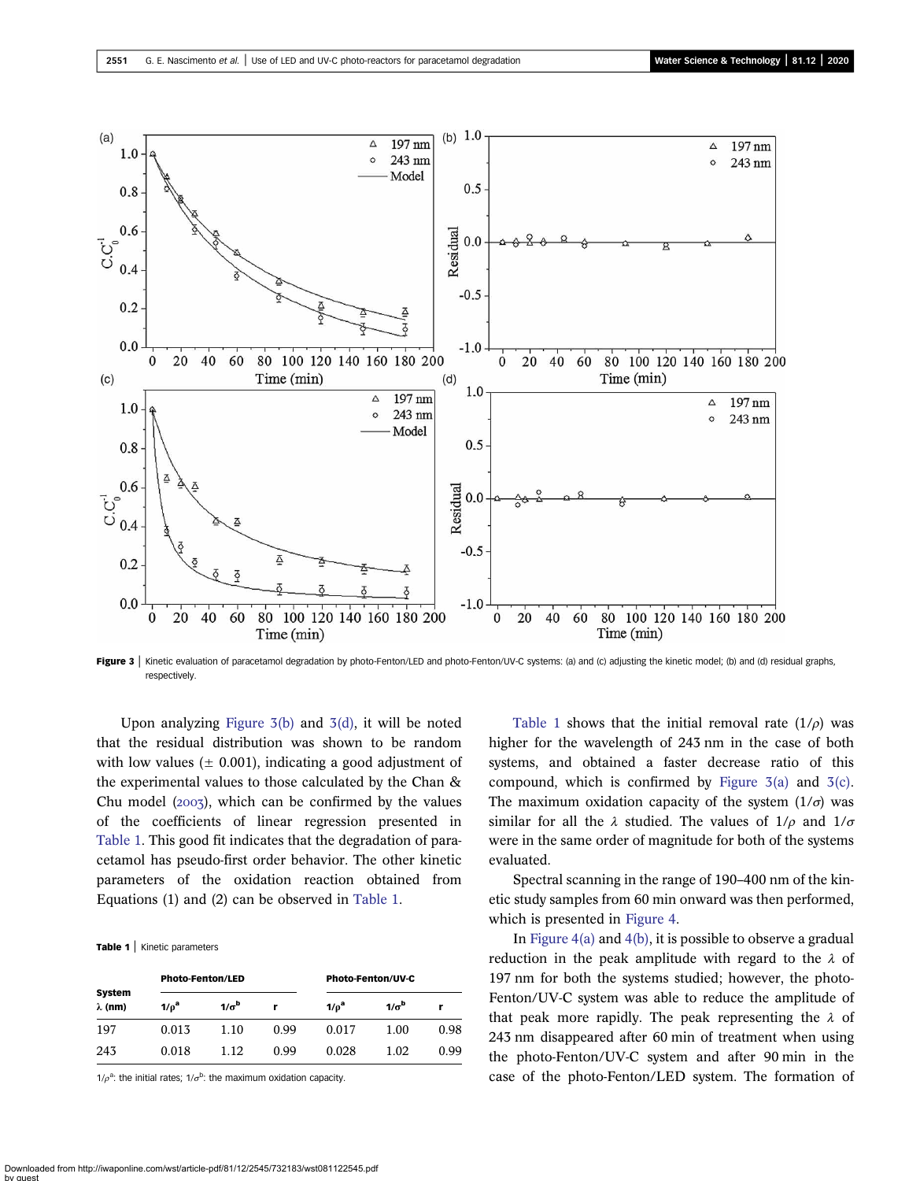<span id="page-6-0"></span>

Figure 3 | Kinetic evaluation of paracetamol degradation by photo-Fenton/LED and photo-Fenton/UV-C systems: (a) and (c) adjusting the kinetic model; (b) and (d) residual graphs, respectively.

Upon analyzing Figure 3(b) and 3(d), it will be noted that the residual distribution was shown to be random with low values  $(± 0.001)$ , indicating a good adjustment of the experimental values to those calculated by the Chan & Chu model  $(2003)$ , which can be confirmed by the values of the coefficients of linear regression presented in Table 1. This good fit indicates that the degradation of paracetamol has pseudo-first order behavior. The other kinetic parameters of the oxidation reaction obtained from Equations (1) and (2) can be observed in Table 1.

#### Table 1 | Kinetic parameters

| System<br>$\lambda$ (nm) | <b>Photo-Fenton/LED</b> |              |      | <b>Photo-Fenton/UV-C</b> |              |      |
|--------------------------|-------------------------|--------------|------|--------------------------|--------------|------|
|                          | $1/\rho^a$              | $1/\sigma^b$ | r    | 1/p <sup>a</sup>         | $1/\sigma^b$ |      |
| 197                      | 0.013                   | 1.10         | 0.99 | 0.017                    | 1.00         | 0.98 |
| 243                      | 0.018                   | 1.12         | 0.99 | 0.028                    | 1.02         | 0.99 |

 $1/\rho^a$ : the initial rates;  $1/\sigma^b$ : the maximum oxidation capacity.

Table 1 shows that the initial removal rate  $(1/\rho)$  was higher for the wavelength of 243 nm in the case of both systems, and obtained a faster decrease ratio of this compound, which is confirmed by Figure  $3(a)$  and  $3(c)$ . The maximum oxidation capacity of the system  $(1/\sigma)$  was similar for all the  $\lambda$  studied. The values of  $1/\rho$  and  $1/\sigma$ were in the same order of magnitude for both of the systems evaluated.

Spectral scanning in the range of 190–400 nm of the kinetic study samples from 60 min onward was then performed, which is presented in [Figure 4](#page-7-0).

In Figure  $4(a)$  and  $4(b)$ , it is possible to observe a gradual reduction in the peak amplitude with regard to the  $\lambda$  of 197 nm for both the systems studied; however, the photo-Fenton/UV-C system was able to reduce the amplitude of that peak more rapidly. The peak representing the  $\lambda$  of 243 nm disappeared after 60 min of treatment when using the photo-Fenton/UV-C system and after 90 min in the case of the photo-Fenton/LED system. The formation of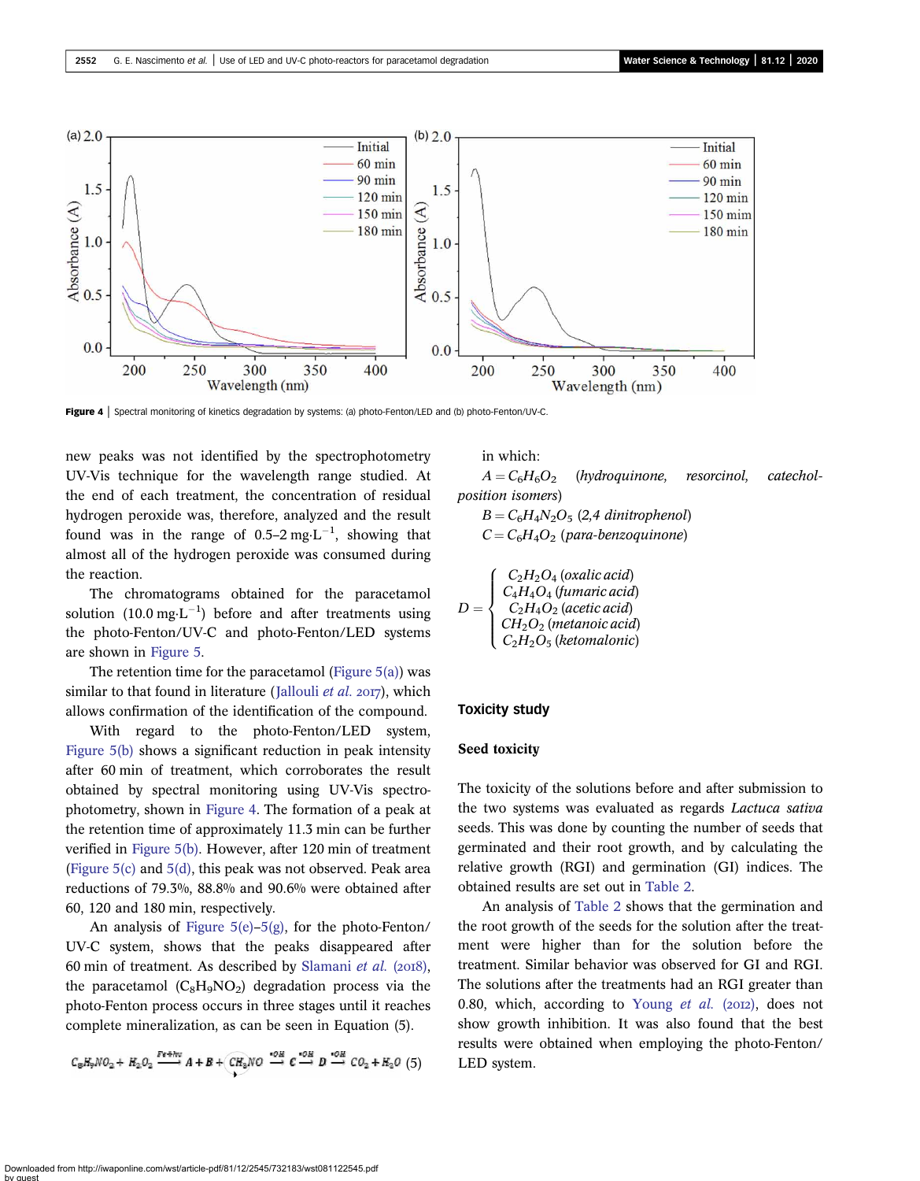<span id="page-7-0"></span>

Figure 4 | Spectral monitoring of kinetics degradation by systems: (a) photo-Fenton/LED and (b) photo-Fenton/UV-C.

new peaks was not identified by the spectrophotometry UV-Vis technique for the wavelength range studied. At the end of each treatment, the concentration of residual hydrogen peroxide was, therefore, analyzed and the result found was in the range of 0.5–2 mg $\text{L}^{-1}$ , showing that almost all of the hydrogen peroxide was consumed during the reaction.

The chromatograms obtained for the paracetamol solution  $(10.0 \text{ mg} \cdot \text{L}^{-1})$  before and after treatments using the photo-Fenton/UV-C and photo-Fenton/LED systems are shown in [Figure 5](#page-8-0).

The retention time for the paracetamol (Figure  $5(a)$ ) was similar to that found in literature ([Jallouli](#page-12-0) *et al.* 2017), which allows confirmation of the identification of the compound.

With regard to the photo-Fenton/LED system, [Figure 5\(b\)](#page-8-0) shows a significant reduction in peak intensity after 60 min of treatment, which corroborates the result obtained by spectral monitoring using UV-Vis spectrophotometry, shown in Figure 4. The formation of a peak at the retention time of approximately 11.3 min can be further verified in [Figure 5\(b\).](#page-8-0) However, after 120 min of treatment ([Figure 5\(c\)](#page-8-0) and [5\(d\),](#page-8-0) this peak was not observed. Peak area reductions of 79.3%, 88.8% and 90.6% were obtained after 60, 120 and 180 min, respectively.

An analysis of Figure  $5(e)$ – $5(g)$ , for the photo-Fenton/ UV-C system, shows that the peaks disappeared after 60 min of treatment. As described by [Slamani](#page-13-0) et al.  $(2018)$ , the paracetamol  $(C_8H_9NO_2)$  degradation process via the photo-Fenton process occurs in three stages until it reaches complete mineralization, as can be seen in Equation (5).

$$
C_8H_9NO_2 + H_2O_2 \xrightarrow{Fe+hu} A + B + CH_3NO \xrightarrow{+OH} C \xrightarrow{+OH} D \xrightarrow{+OH} CO_2 + H_2O (5)
$$

in which:

 $A = C_6H_6O_2$  (hydroquinone, resorcinol, catecholposition isomers)

 $B = C_6H_4N_2O_5$  (2,4 dinitrophenol)  $C = C_6H_4O_2$  (para-benzoquinone)

$$
D = \begin{cases} C_2H_2O_4 \ (oxalic \ acid) \\ C_4H_4O_4 \ (fumaric \ acid) \\ C_2H_4O_2 \ (acetic \ acid) \\ CH_2O_2 \ (metanoic \ acid) \\ C_2H_2O_5 \ (ketomalonic) \end{cases}
$$

### Toxicity study

## Seed toxicity

The toxicity of the solutions before and after submission to the two systems was evaluated as regards Lactuca sativa seeds. This was done by counting the number of seeds that germinated and their root growth, and by calculating the relative growth (RGI) and germination (GI) indices. The obtained results are set out in [Table 2](#page-9-0).

An analysis of [Table 2](#page-9-0) shows that the germination and the root growth of the seeds for the solution after the treatment were higher than for the solution before the treatment. Similar behavior was observed for GI and RGI. The solutions after the treatments had an RGI greater than 0.80, which, according to [Young](#page-13-0) et al. ( $20I2$ ), does not show growth inhibition. It was also found that the best results were obtained when employing the photo-Fenton/ LED system.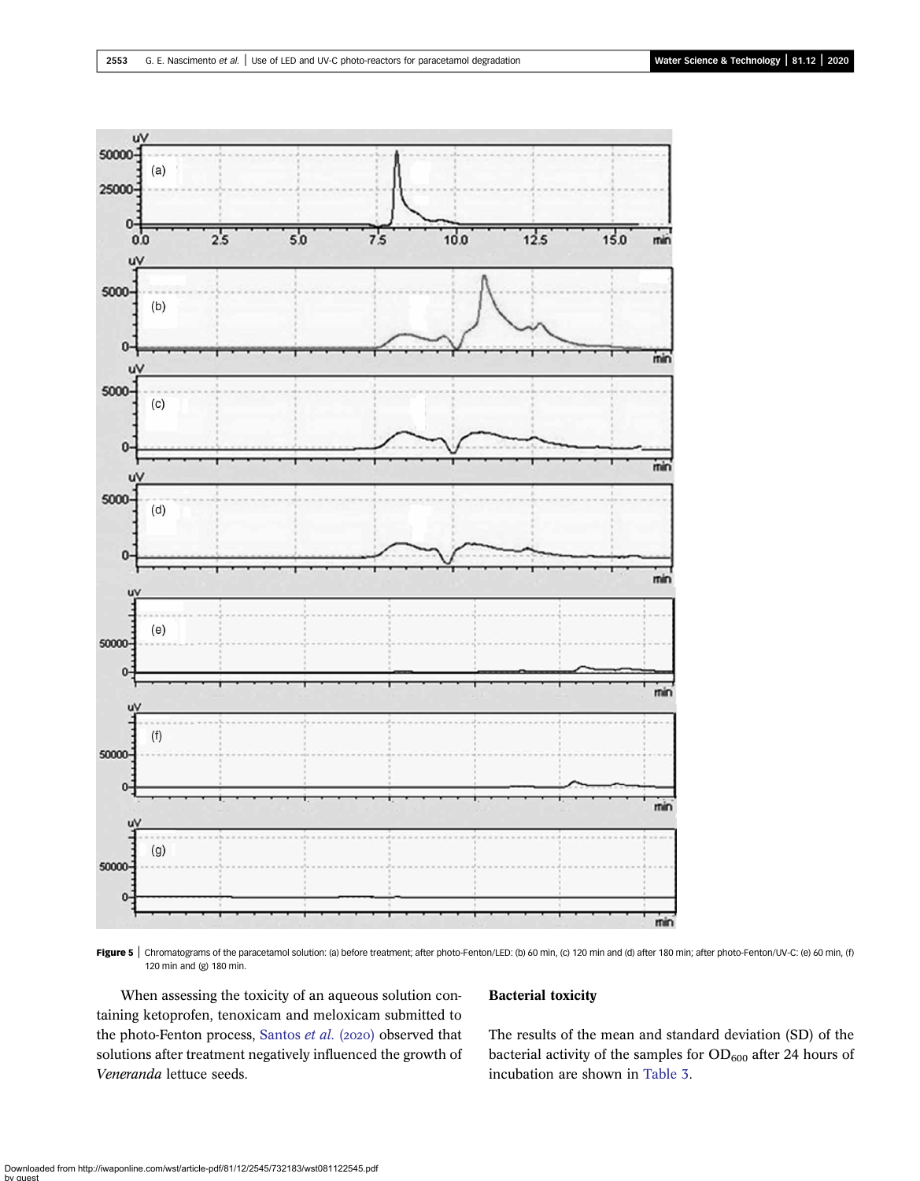<span id="page-8-0"></span>

Figure 5 | Chromatograms of the paracetamol solution: (a) before treatment; after photo-Fenton/LED: (b) 60 min, (c) 120 min and (d) after 180 min; after photo-Fenton/UV-C: (e) 60 min, (f) 120 min and (g) 180 min.

When assessing the toxicity of an aqueous solution containing ketoprofen, tenoxicam and meloxicam submitted to the photo-Fenton process, [Santos](#page-13-0) et al. (2020) observed that solutions after treatment negatively influenced the growth of Veneranda lettuce seeds.

### Bacterial toxicity

The results of the mean and standard deviation (SD) of the bacterial activity of the samples for  $OD_{600}$  after 24 hours of incubation are shown in [Table 3.](#page-9-0)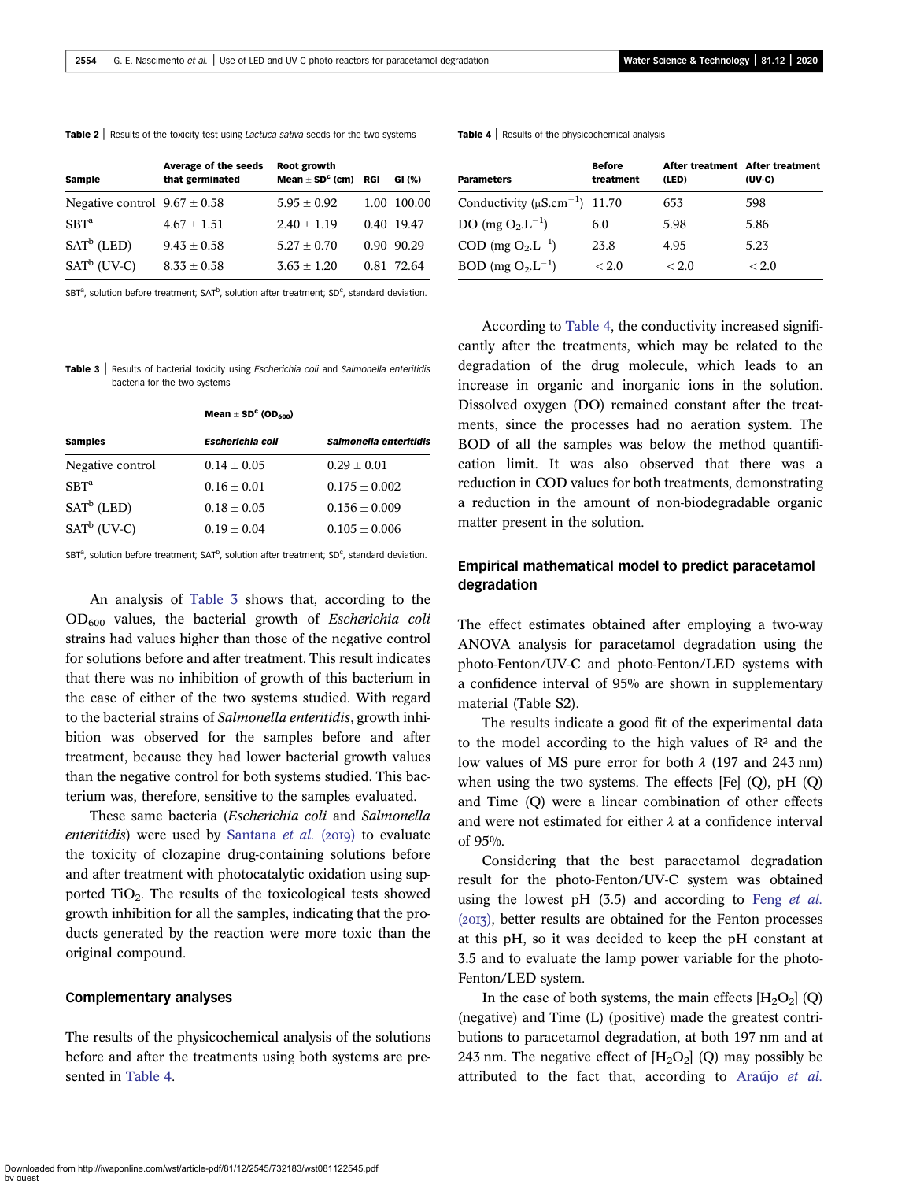<span id="page-9-0"></span>

| Sample                           | <b>Average of the seeds</b><br>that germinated | Root growth<br>Mean $\pm$ SD <sup>c</sup> (cm) RGI | GI $(%)$    |
|----------------------------------|------------------------------------------------|----------------------------------------------------|-------------|
| Negative control $9.67 \pm 0.58$ |                                                | $5.95 \pm 0.92$                                    | 1.00 100.00 |
| SBT <sup>a</sup>                 | $4.67 \pm 1.51$                                | $2.40 \pm 1.19$                                    | 0.40 19.47  |
| $SATb$ (LED)                     | $9.43 \pm 0.58$                                | $5.27 + 0.70$                                      | 0.90 90.29  |
| $SATb$ (UV-C)                    | $8.33 \pm 0.58$                                | $3.63 \pm 1.20$                                    | 0.81 72.64  |

SBT<sup>a</sup>, solution before treatment; SAT<sup>b</sup>, solution after treatment; SD<sup>c</sup>, standard deviation.

Table 3 | Results of bacterial toxicity using Escherichia coli and Salmonella enteritidis bacteria for the two systems

|                  | Mean $\pm$ SD <sup>c</sup> (OD <sub>600</sub> ) |                        |  |  |
|------------------|-------------------------------------------------|------------------------|--|--|
| <b>Samples</b>   | <b>Escherichia coli</b>                         | Salmonella enteritidis |  |  |
| Negative control | $0.14 \pm 0.05$                                 | $0.29 + 0.01$          |  |  |
| $SBT^a$          | $0.16 \pm 0.01$                                 | $0.175 + 0.002$        |  |  |
| $SATb$ (LED)     | $0.18 \pm 0.05$                                 | $0.156 + 0.009$        |  |  |
| $SATb$ (UV-C)    | $0.19 + 0.04$                                   | $0.105 + 0.006$        |  |  |

SBT<sup>a</sup>, solution before treatment; SAT<sup>b</sup>, solution after treatment; SD<sup>c</sup>, standard deviation.

An analysis of Table 3 shows that, according to the  $OD_{600}$  values, the bacterial growth of Escherichia coli strains had values higher than those of the negative control for solutions before and after treatment. This result indicates that there was no inhibition of growth of this bacterium in the case of either of the two systems studied. With regard to the bacterial strains of Salmonella enteritidis, growth inhibition was observed for the samples before and after treatment, because they had lower bacterial growth values than the negative control for both systems studied. This bacterium was, therefore, sensitive to the samples evaluated.

These same bacteria (Escherichia coli and Salmonella enteritidis) were used by [Santana](#page-13-0) et al.  $(2019)$  to evaluate the toxicity of clozapine drug-containing solutions before and after treatment with photocatalytic oxidation using supported TiO2. The results of the toxicological tests showed growth inhibition for all the samples, indicating that the products generated by the reaction were more toxic than the original compound.

### Complementary analyses

The results of the physicochemical analysis of the solutions before and after the treatments using both systems are presented in Table 4.

**Table 4** | Results of the physicochemical analysis

| <b>Parameters</b>                               | <b>Before</b><br>treatment | After treatment After treatment<br>(LED) | (UV C) |
|-------------------------------------------------|----------------------------|------------------------------------------|--------|
| Conductivity ( $\mu$ S.cm <sup>-1</sup> ) 11.70 |                            | 653                                      | 598    |
| DO (mg $O_2.L^{-1}$ )                           | 6.0                        | 5.98                                     | 5.86   |
| COD (mg $O_2.L^{-1}$ )                          | 23.8                       | 4.95                                     | 5.23   |
| BOD (mg $O_2.L^{-1}$ )                          | < 2.0                      | < 2.0                                    | < 2.0  |

According to Table 4, the conductivity increased significantly after the treatments, which may be related to the degradation of the drug molecule, which leads to an increase in organic and inorganic ions in the solution. Dissolved oxygen (DO) remained constant after the treatments, since the processes had no aeration system. The BOD of all the samples was below the method quantification limit. It was also observed that there was a reduction in COD values for both treatments, demonstrating a reduction in the amount of non-biodegradable organic matter present in the solution.

# Empirical mathematical model to predict paracetamol degradation

The effect estimates obtained after employing a two-way ANOVA analysis for paracetamol degradation using the photo-Fenton/UV-C and photo-Fenton/LED systems with a confidence interval of 95% are shown in supplementary material (Table S2).

The results indicate a good fit of the experimental data to the model according to the high values of  $\mathbb{R}^2$  and the low values of MS pure error for both  $\lambda$  (197 and 243 nm) when using the two systems. The effects [Fe] (Q), pH (Q) and Time (Q) were a linear combination of other effects and were not estimated for either  $\lambda$  at a confidence interval of 95%.

Considering that the best paracetamol degradation result for the photo-Fenton/UV-C system was obtained using the lowest pH  $(3.5)$  and according to Feng [et al.](#page-12-0)  $(2017)$ , better results are obtained for the Fenton processes at this pH, so it was decided to keep the pH constant at 3.5 and to evaluate the lamp power variable for the photo-Fenton/LED system.

In the case of both systems, the main effects  $[H_2O_2]$  (Q) (negative) and Time (L) (positive) made the greatest contributions to paracetamol degradation, at both 197 nm and at 243 nm. The negative effect of  $[H_2O_2]$  (Q) may possibly be attributed to the fact that, according to [Araújo](#page-12-0) et al.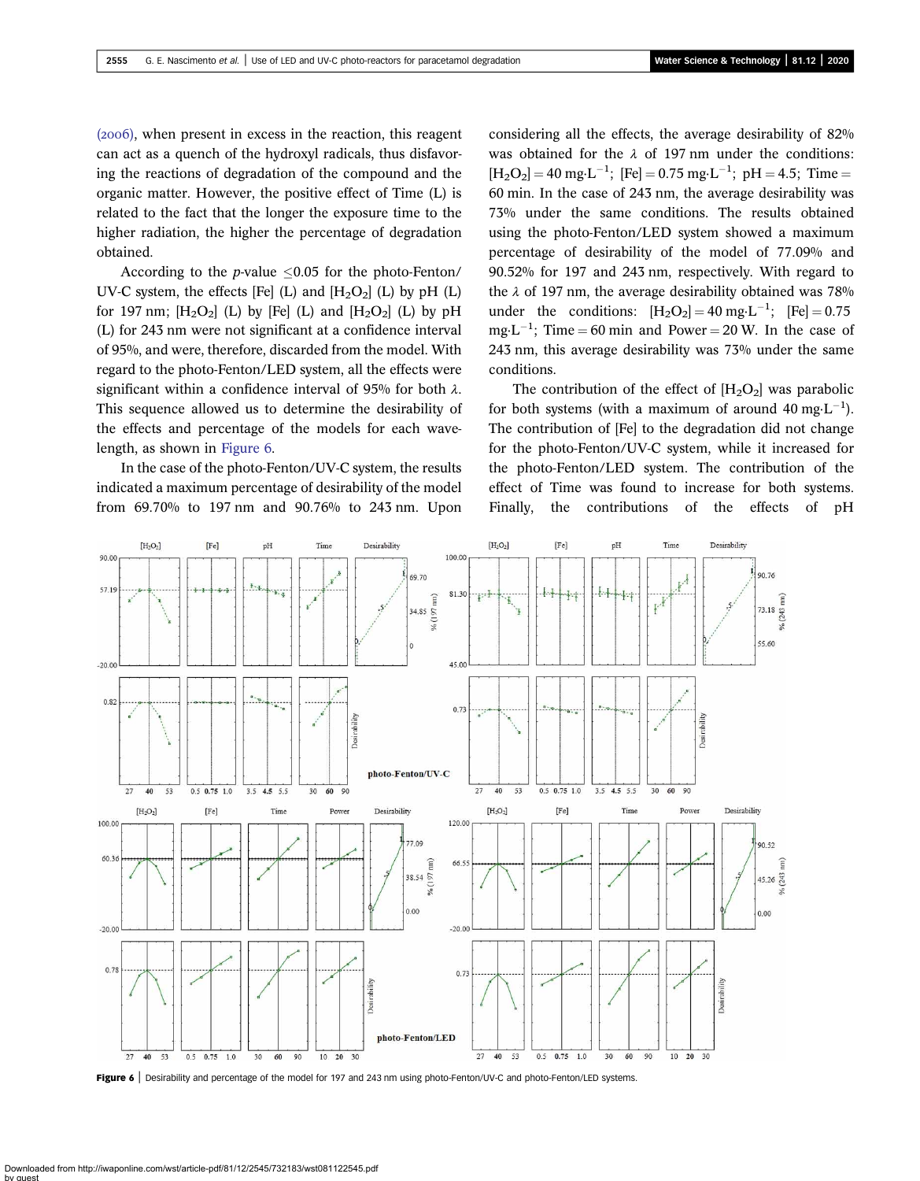$(2006)$ , when present in excess in the reaction, this reagent can act as a quench of the hydroxyl radicals, thus disfavoring the reactions of degradation of the compound and the organic matter. However, the positive effect of Time (L) is related to the fact that the longer the exposure time to the higher radiation, the higher the percentage of degradation obtained.

According to the *p*-value  $\leq 0.05$  for the photo-Fenton/ UV-C system, the effects [Fe] (L) and  $[H_2O_2]$  (L) by pH (L) for 197 nm;  $[H_2O_2]$  (L) by [Fe] (L) and  $[H_2O_2]$  (L) by pH (L) for 243 nm were not significant at a confidence interval of 95%, and were, therefore, discarded from the model. With regard to the photo-Fenton/LED system, all the effects were significant within a confidence interval of 95% for both  $\lambda$ . This sequence allowed us to determine the desirability of the effects and percentage of the models for each wavelength, as shown in Figure 6.

In the case of the photo-Fenton/UV-C system, the results indicated a maximum percentage of desirability of the model from 69.70% to 197 nm and 90.76% to 243 nm. Upon considering all the effects, the average desirability of 82% was obtained for the  $\lambda$  of 197 nm under the conditions:  $[H_2O_2] = 40$  mg·L<sup>-1</sup>; [Fe] = 0.75 mg·L<sup>-1</sup>; pH = 4.5; Time = 60 min. In the case of 243 nm, the average desirability was 73% under the same conditions. The results obtained using the photo-Fenton/LED system showed a maximum percentage of desirability of the model of 77.09% and 90.52% for 197 and 243 nm, respectively. With regard to the  $\lambda$  of 197 nm, the average desirability obtained was 78% under the conditions:  $[H_2O_2] = 40$  mg·L<sup>-1</sup>;  $[Fe] = 0.75$  $mg \cdot L^{-1}$ ; Time = 60 min and Power = 20 W. In the case of 243 nm, this average desirability was 73% under the same conditions.

The contribution of the effect of  $[H_2O_2]$  was parabolic for both systems (with a maximum of around  $40 \text{ mg} \cdot \text{L}^{-1}$ ). The contribution of [Fe] to the degradation did not change for the photo-Fenton/UV-C system, while it increased for the photo-Fenton/LED system. The contribution of the effect of Time was found to increase for both systems. Finally, the contributions of the effects of pH



Figure 6 | Desirability and percentage of the model for 197 and 243 nm using photo-Fenton/UV-C and photo-Fenton/LED systems.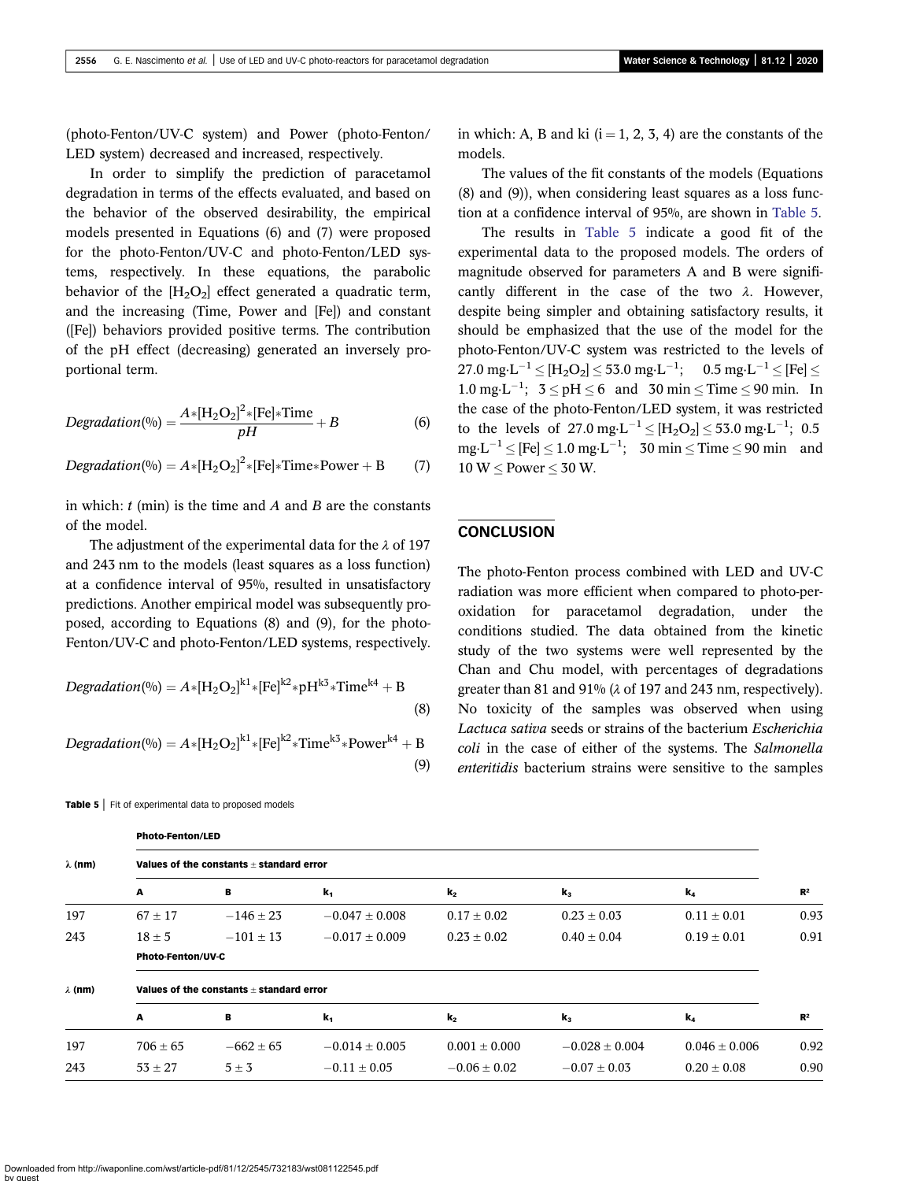(photo-Fenton/UV-C system) and Power (photo-Fenton/ LED system) decreased and increased, respectively.

In order to simplify the prediction of paracetamol degradation in terms of the effects evaluated, and based on the behavior of the observed desirability, the empirical models presented in Equations (6) and (7) were proposed for the photo-Fenton/UV-C and photo-Fenton/LED systems, respectively. In these equations, the parabolic behavior of the  $[H_2O_2]$  effect generated a quadratic term, and the increasing (Time, Power and [Fe]) and constant ([Fe]) behaviors provided positive terms. The contribution of the pH effect (decreasing) generated an inversely proportional term.

$$
Degradation(\%) = \frac{A*[H_2O_2]^2*[Fe]*Time}{pH} + B \tag{6}
$$

$$
Degradation(\%) = A*[H_2O_2]^2*[Fe]*Time*Power + B \qquad (7)
$$

in which:  $t$  (min) is the time and  $A$  and  $B$  are the constants of the model.

The adjustment of the experimental data for the  $\lambda$  of 197 and 243 nm to the models (least squares as a loss function) at a confidence interval of 95%, resulted in unsatisfactory predictions. Another empirical model was subsequently proposed, according to Equations (8) and (9), for the photo-Fenton/UV-C and photo-Fenton/LED systems, respectively.

$$
Degradation(\%) = A*[H_2O_2]^{k1}*[Fe]^{k2} * pH^{k3} * Time^{k4} + B
$$
\n(8)

Degradation(%) =  $A*[H_2O_2]^{k1}*[Fe]^{k2} * Time^{k3} * Power^{k4} + B$ (9)

Table 5 | Fit of experimental data to proposed models

Photo-Fenton/LED

in which: A, B and ki  $(i = 1, 2, 3, 4)$  are the constants of the models.

The values of the fit constants of the models (Equations (8) and (9)), when considering least squares as a loss function at a confidence interval of 95%, are shown in Table 5.

The results in Table 5 indicate a good fit of the experimental data to the proposed models. The orders of magnitude observed for parameters A and B were significantly different in the case of the two  $\lambda$ . However, despite being simpler and obtaining satisfactory results, it should be emphasized that the use of the model for the photo-Fenton/UV-C system was restricted to the levels of  $27.0 \text{ mg}\cdot L^{-1} \leq [H_2O_2] \leq 53.0 \text{ mg}\cdot L^{-1}; \quad 0.5 \text{ mg}\cdot L^{-1} \leq [Fe] \leq$ 1.0 mg·L<sup>-1</sup>;  $3 \leq pH \leq 6$  and  $30 \text{ min} \leq Time \leq 90 \text{ min}$ . In the case of the photo-Fenton/LED system, it was restricted to the levels of 27.0 mg $\text{L}^{-1} \leq [H_2O_2] \leq 53.0 \text{ mg}\cdot\text{L}^{-1}$ ; 0.5  $mg \cdot L^{-1} \leq [Fe] \leq 1.0 \text{ mg} \cdot L^{-1};$  30 min  $\leq$  Time  $\leq$  90 min and  $10 W <$  Power  $<$  30 W.

# **CONCLUSION**

The photo-Fenton process combined with LED and UV-C radiation was more efficient when compared to photo-peroxidation for paracetamol degradation, under the conditions studied. The data obtained from the kinetic study of the two systems were well represented by the Chan and Chu model, with percentages of degradations greater than 81 and 91% (λ of 197 and 243 nm, respectively). No toxicity of the samples was observed when using Lactuca sativa seeds or strains of the bacterium Escherichia coli in the case of either of the systems. The Salmonella enteritidis bacterium strains were sensitive to the samples

| $\lambda$ (nm) | Values of the constants + standard error     |               |                    |                   |                    |                   |                |
|----------------|----------------------------------------------|---------------|--------------------|-------------------|--------------------|-------------------|----------------|
|                | A                                            | в             | $\mathbf{k}_1$     | $k_{2}$           | $\mathbf{k}_3$     | $k_a$             | $\mathbb{R}^2$ |
| 197            | $67 \pm 17$                                  | $-146 \pm 23$ | $-0.047 \pm 0.008$ | $0.17 \pm 0.02$   | $0.23 \pm 0.03$    | $0.11 \pm 0.01$   | 0.93           |
| 243            | $18 \pm 5$                                   | $-101 \pm 13$ | $-0.017 \pm 0.009$ | $0.23 \pm 0.02$   | $0.40 \pm 0.04$    | $0.19 \pm 0.01$   | 0.91           |
|                | <b>Photo-Fenton/UV-C</b>                     |               |                    |                   |                    |                   |                |
| $\lambda$ (nm) | Values of the constants $\pm$ standard error |               |                    |                   |                    |                   |                |
|                | A                                            | в             | $k_1$              | $k_{2}$           | $\mathbf{k}_3$     | $k_a$             | $\mathbb{R}^2$ |
| 197            | $706 \pm 65$                                 | $-662 \pm 65$ | $-0.014 \pm 0.005$ | $0.001 \pm 0.000$ | $-0.028 \pm 0.004$ | $0.046 \pm 0.006$ | 0.92           |
| 243            | $53 \pm 27$                                  | $5 \pm 3$     | $-0.11 \pm 0.05$   | $-0.06 \pm 0.02$  | $-0.07 \pm 0.03$   | $0.20 \pm 0.08$   | 0.90           |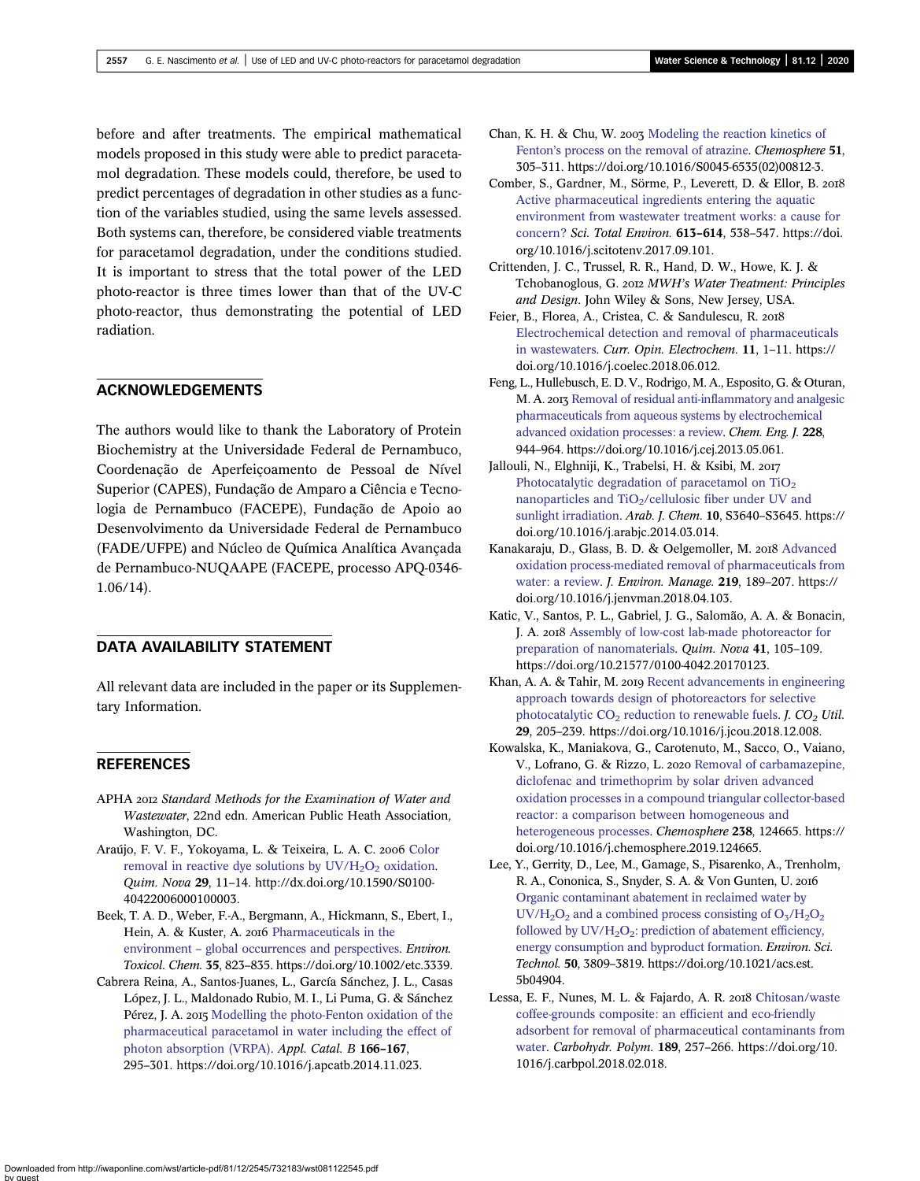<span id="page-12-0"></span>before and after treatments. The empirical mathematical models proposed in this study were able to predict paracetamol degradation. These models could, therefore, be used to predict percentages of degradation in other studies as a function of the variables studied, using the same levels assessed. Both systems can, therefore, be considered viable treatments for paracetamol degradation, under the conditions studied. It is important to stress that the total power of the LED photo-reactor is three times lower than that of the UV-C photo-reactor, thus demonstrating the potential of LED radiation.

# ACKNOWLEDGEMENTS

The authors would like to thank the Laboratory of Protein Biochemistry at the Universidade Federal de Pernambuco, Coordenação de Aperfeiçoamento de Pessoal de Nível Superior (CAPES), Fundação de Amparo a Ciência e Tecnologia de Pernambuco (FACEPE), Fundação de Apoio ao Desenvolvimento da Universidade Federal de Pernambuco (FADE/UFPE) and Núcleo de Química Analítica Avançada de Pernambuco-NUQAAPE (FACEPE, processo APQ-0346- 1.06/14).

# DATA AVAILABILITY STATEMENT

All relevant data are included in the paper or its Supplementary Information.

# **REFERENCES**

- APHA 2012 Standard Methods for the Examination of Water and Wastewater, 22nd edn. American Public Heath Association, Washington, DC.
- Araújo, F. V. F., Yokoyama, L. & Teixeira, L. A. C. 2006 [Color](http://dx.doi.org/10.1590/S0100-40422006000100003) removal in reactive dye solutions by  $UV/H<sub>2</sub>O<sub>2</sub>$  [oxidation](http://dx.doi.org/10.1590/S0100-40422006000100003). Quim. Nova 29, 11–14. http://dx.doi.org/10.1590/S0100- 40422006000100003.
- Beek, T. A. D., Weber, F.-A., Bergmann, A., Hickmann, S., Ebert, I., Hein, A. & Kuster, A. 2016 [Pharmaceuticals in the](http://dx.doi.org/10.1002/etc.3339) environment – [global occurrences and perspectives](http://dx.doi.org/10.1002/etc.3339). Environ. Toxicol. Chem. 35, 823–835. https://doi.org/10.1002/etc.3339.
- Cabrera Reina, A., Santos-Juanes, L., García Sánchez, J. L., Casas López, J. L., Maldonado Rubio, M. I., Li Puma, G. & Sánchez Pérez, J. A. 2015 [Modelling the photo-Fenton oxidation of the](http://dx.doi.org/10.1016/j.apcatb.2014.11.023) [pharmaceutical paracetamol in water including the effect of](http://dx.doi.org/10.1016/j.apcatb.2014.11.023) [photon absorption \(VRPA\)](http://dx.doi.org/10.1016/j.apcatb.2014.11.023). Appl. Catal. B 166–167, 295–301. https://doi.org/10.1016/j.apcatb.2014.11.023.
- Chan, K. H. & Chu, W. 2003 [Modeling the reaction kinetics of](http://dx.doi.org/10.1016/S0045-6535(02)00812-3) Fenton'[s process on the removal of atrazine.](http://dx.doi.org/10.1016/S0045-6535(02)00812-3) Chemosphere 51, 305–311. https://doi.org/10.1016/S0045-6535(02)00812-3.
- Comber, S., Gardner, M., Sörme, P., Leverett, D. & Ellor, B. [Active pharmaceutical ingredients entering the aquatic](http://dx.doi.org/10.1016/j.scitotenv.2017.09.101) [environment from wastewater treatment works: a cause for](http://dx.doi.org/10.1016/j.scitotenv.2017.09.101) [concern?](http://dx.doi.org/10.1016/j.scitotenv.2017.09.101) Sci. Total Environ. 613-614, 538-547. https://doi. org/10.1016/j.scitotenv.2017.09.101.
- Crittenden, J. C., Trussel, R. R., Hand, D. W., Howe, K. J. & Tchobanoglous, G. 2012 MWH's Water Treatment: Principles and Design. John Wiley & Sons, New Jersey, USA.
- Feier, B., Florea, A., Cristea, C. & Sandulescu, R. [Electrochemical detection and removal of pharmaceuticals](http://dx.doi.org/10.1016/j.coelec.2018.06.012) [in wastewaters](http://dx.doi.org/10.1016/j.coelec.2018.06.012). Curr. Opin. Electrochem. 11, 1–11. https:// doi.org/10.1016/j.coelec.2018.06.012.
- Feng, L., Hullebusch, E. D. V., Rodrigo, M. A., Esposito, G. & Oturan, M. A. 2013 [Removal of residual anti-inflammatory and analgesic](http://dx.doi.org/10.1016/j.cej.2013.05.061) [pharmaceuticals from aqueous systems by electrochemical](http://dx.doi.org/10.1016/j.cej.2013.05.061) [advanced oxidation processes: a review](http://dx.doi.org/10.1016/j.cej.2013.05.061). Chem. Eng. J. 228, 944–964. https://doi.org/10.1016/j.cej.2013.05.061.
- Jallouli, N., Elghniji, K., Trabelsi, H. & Ksibi, M. Photocatalytic degradation of paracetamol on TiO<sub>2</sub> nanoparticles and TiO<sub>2</sub>/cellulosic fiber under UV and [sunlight irradiation.](http://dx.doi.org/10.1016/j.arabjc.2014.03.014) Arab. J. Chem. 10, S3640–S3645. https:// doi.org/10.1016/j.arabjc.2014.03.014.
- Kanakaraju, D., Glass, B. D. & Oelgemoller, M. 2018 [Advanced](http://dx.doi.org/10.1016/j.jenvman.2018.04.103) [oxidation process-mediated removal of pharmaceuticals from](http://dx.doi.org/10.1016/j.jenvman.2018.04.103) [water: a review.](http://dx.doi.org/10.1016/j.jenvman.2018.04.103) J. Environ. Manage. 219, 189–207. https:// doi.org/10.1016/j.jenvman.2018.04.103.
- Katic, V., Santos, P. L., Gabriel, J. G., Salomão, A. A. & Bonacin, J. A. 2018 [Assembly of low-cost lab-made photoreactor for](http://dx.doi.org/10.21577/0100-4042.20170123) [preparation of nanomaterials](http://dx.doi.org/10.21577/0100-4042.20170123). Quim. Nova 41, 105–109. https://doi.org/10.21577/0100-4042.20170123.
- Khan, A. A. & Tahir, M. 2019 [Recent advancements in engineering](http://dx.doi.org/10.1016/j.jcou.2018.12.008) [approach towards design of photoreactors for selective](http://dx.doi.org/10.1016/j.jcou.2018.12.008) photocatalytic  $CO_2$  [reduction to renewable fuels](http://dx.doi.org/10.1016/j.jcou.2018.12.008). *J.*  $CO_2$  *Util.* 29, 205–239. https://doi.org/10.1016/j.jcou.2018.12.008.
- Kowalska, K., Maniakova, G., Carotenuto, M., Sacco, O., Vaiano, V., Lofrano, G. & Rizzo, L. 2020 [Removal of carbamazepine,](http://dx.doi.org/10.1016/j.chemosphere.2019.124665) [diclofenac and trimethoprim by solar driven advanced](http://dx.doi.org/10.1016/j.chemosphere.2019.124665) [oxidation processes in a compound triangular collector-based](http://dx.doi.org/10.1016/j.chemosphere.2019.124665) [reactor: a comparison between homogeneous and](http://dx.doi.org/10.1016/j.chemosphere.2019.124665) [heterogeneous processes.](http://dx.doi.org/10.1016/j.chemosphere.2019.124665) Chemosphere 238, 124665. https:// doi.org/10.1016/j.chemosphere.2019.124665.
- Lee, Y., Gerrity, D., Lee, M., Gamage, S., Pisarenko, A., Trenholm, R. A., Cononica, S., Snyder, S. A. & Von Gunten, U. [Organic contaminant abatement in reclaimed water by](http://dx.doi.org/10.1021/acs.est.5b04904) UV/H<sub>2</sub>O<sub>2</sub> and a combined process consisting of  $O<sub>3</sub>/H<sub>2</sub>O<sub>2</sub>$ followed by  $UV/H_2O_2$ : prediction of abatement efficiency, [energy consumption and byproduct formation.](http://dx.doi.org/10.1021/acs.est.5b04904) Environ. Sci. Technol. 50, 3809–3819. https://doi.org/10.1021/acs.est. 5b04904.
- Lessa, E. F., Nunes, M. L. & Fajardo, A. R. 2018 [Chitosan/waste](http://dx.doi.org/10.1016/j.carbpol.2018.02.018) [coffee-grounds composite: an efficient and eco-friendly](http://dx.doi.org/10.1016/j.carbpol.2018.02.018) [adsorbent for removal of pharmaceutical contaminants from](http://dx.doi.org/10.1016/j.carbpol.2018.02.018) [water](http://dx.doi.org/10.1016/j.carbpol.2018.02.018). Carbohydr. Polym. 189, 257–266. https://doi.org/10. 1016/j.carbpol.2018.02.018.